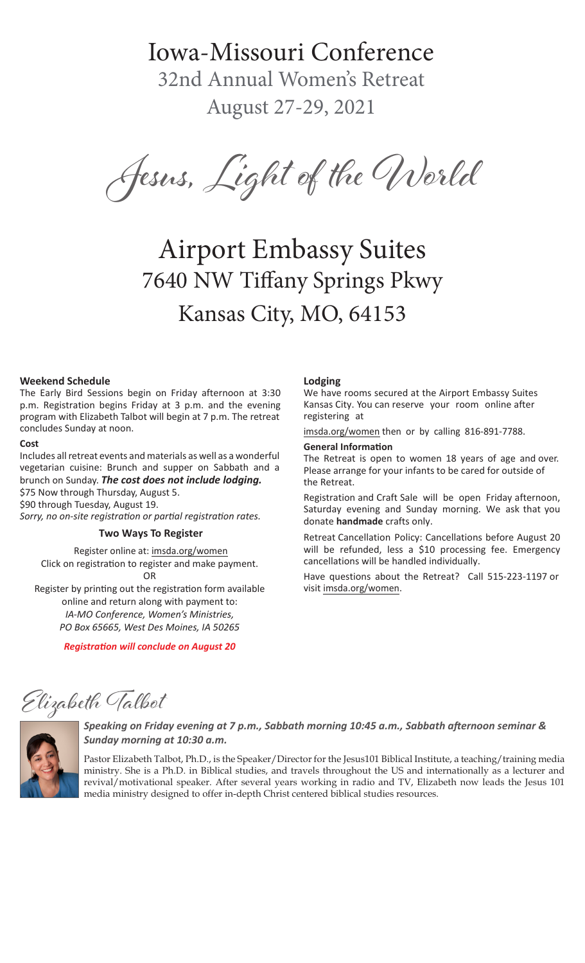# Iowa-Missouri Conference

32nd Annual Women's Retreat August 27-29, 2021

Jesus, Light of the World

# Airport Embassy Suites 7640 NW Tiffany Springs Pkwy Kansas City, MO, 64153

## **Weekend Schedule**

The Early Bird Sessions begin on Friday afternoon at 3:30 p.m. Registration begins Friday at 3 p.m. and the evening program with Elizabeth Talbot will begin at 7 p.m. The retreat concludes Sunday at noon.

#### **Cost**

Includes all retreat events and materials as well as a wonderful vegetarian cuisine: Brunch and supper on Sabbath and a brunch on Sunday. *The cost does not include lodging.*  \$75 Now through Thursday, August 5. \$90 through Tuesday, August 19.

*Sorry, no on-site registration or partial registration rates.*

# **Two Ways To Register**

Register online at: imsda.org/women Click on registration to register and make payment. OR

Register by printing out the registration form available online and return along with payment to: *IA-MO Conference, Women's Ministries, PO Box 65665, West Des Moines, IA 50265*

*Registration will conclude on August 20*

#### **Lodging**

We have rooms secured at the Airport Embassy Suites Kansas City. You can reserve your room online after registering at

imsda.org/women then or by calling 816-891-7788.

#### **General Information**

The Retreat is open to women 18 years of age and over. Please arrange for your infants to be cared for outside of the Retreat.

Registration and Craft Sale will be open Friday afternoon, Saturday evening and Sunday morning. We ask that you donate **handmade** crafts only.

Retreat Cancellation Policy: Cancellations before August 20 will be refunded, less a \$10 processing fee. Emergency cancellations will be handled individually.

Have questions about the Retreat? Call 515-223-1197 or visit imsda.org/women.

Elizabeth Talbot



# *Speaking on Friday evening at 7 p.m., Sabbath morning 10:45 a.m., Sabbath afternoon seminar & Sunday morning at 10:30 a.m.*

Pastor Elizabeth Talbot, Ph.D., is the Speaker/Director for the Jesus101 Biblical Institute, a teaching/training media ministry. She is a Ph.D. in Biblical studies, and travels throughout the US and internationally as a lecturer and revival/motivational speaker. After several years working in radio and TV, Elizabeth now leads the Jesus 101 media ministry designed to offer in-depth Christ centered biblical studies resources.